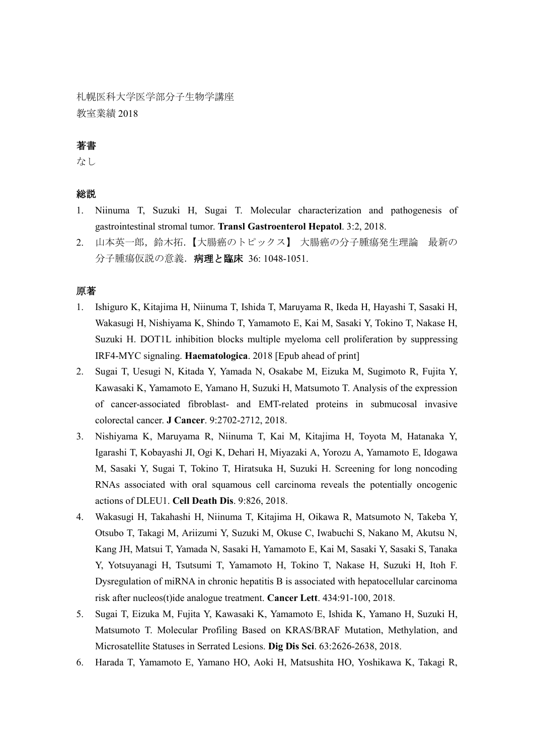札幌医科大学医学部分子生物学講座 教室業績 2018

# 著書

なし

## 総説

- 1. Niinuma T, Suzuki H, Sugai T. Molecular characterization and pathogenesis of gastrointestinal stromal tumor. **Transl Gastroenterol Hepatol**. 3:2, 2018.
- 2. 山本英一郎,鈴木拓.【大腸癌のトピックス】 大腸癌の分子腫瘍発生理論 最新の 分子腫瘍仮説の意義. 病理と臨床 36: 1048-1051.

#### 原著

- 1. Ishiguro K, Kitajima H, Niinuma T, Ishida T, Maruyama R, Ikeda H, Hayashi T, Sasaki H, Wakasugi H, Nishiyama K, Shindo T, Yamamoto E, Kai M, Sasaki Y, Tokino T, Nakase H, Suzuki H. DOT1L inhibition blocks multiple myeloma cell proliferation by suppressing IRF4-MYC signaling. **Haematologica**. 2018 [Epub ahead of print]
- 2. Sugai T, Uesugi N, Kitada Y, Yamada N, Osakabe M, Eizuka M, Sugimoto R, Fujita Y, Kawasaki K, Yamamoto E, Yamano H, Suzuki H, Matsumoto T. Analysis of the expression of cancer-associated fibroblast- and EMT-related proteins in submucosal invasive colorectal cancer. **J Cancer**. 9:2702-2712, 2018.
- 3. Nishiyama K, Maruyama R, Niinuma T, Kai M, Kitajima H, Toyota M, Hatanaka Y, Igarashi T, Kobayashi JI, Ogi K, Dehari H, Miyazaki A, Yorozu A, Yamamoto E, Idogawa M, Sasaki Y, Sugai T, Tokino T, Hiratsuka H, Suzuki H. Screening for long noncoding RNAs associated with oral squamous cell carcinoma reveals the potentially oncogenic actions of DLEU1. **Cell Death Dis**. 9:826, 2018.
- 4. Wakasugi H, Takahashi H, Niinuma T, Kitajima H, Oikawa R, Matsumoto N, Takeba Y, Otsubo T, Takagi M, Ariizumi Y, Suzuki M, Okuse C, Iwabuchi S, Nakano M, Akutsu N, Kang JH, Matsui T, Yamada N, Sasaki H, Yamamoto E, Kai M, Sasaki Y, Sasaki S, Tanaka Y, Yotsuyanagi H, Tsutsumi T, Yamamoto H, Tokino T, Nakase H, Suzuki H, Itoh F. Dysregulation of miRNA in chronic hepatitis B is associated with hepatocellular carcinoma risk after nucleos(t)ide analogue treatment. **Cancer Lett**. 434:91-100, 2018.
- 5. Sugai T, Eizuka M, Fujita Y, Kawasaki K, Yamamoto E, Ishida K, Yamano H, Suzuki H, Matsumoto T. Molecular Profiling Based on KRAS/BRAF Mutation, Methylation, and Microsatellite Statuses in Serrated Lesions. **Dig Dis Sci**. 63:2626-2638, 2018.
- 6. Harada T, Yamamoto E, Yamano HO, Aoki H, Matsushita HO, Yoshikawa K, Takagi R,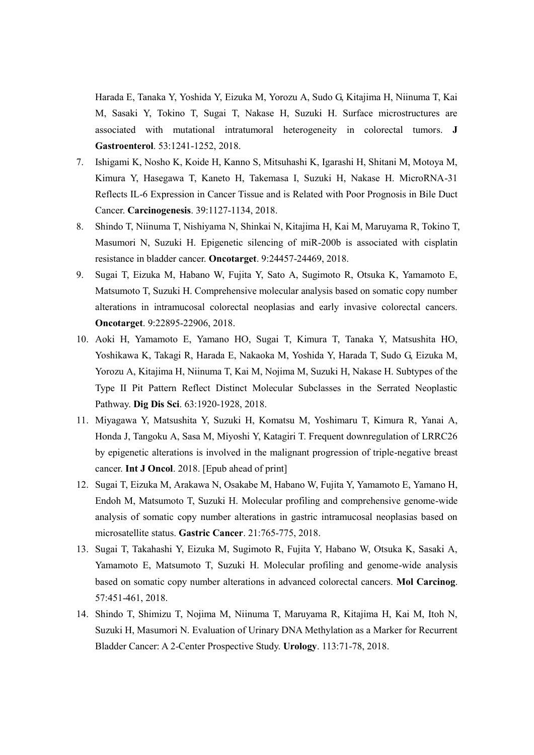Harada E, Tanaka Y, Yoshida Y, Eizuka M, Yorozu A, Sudo G, Kitajima H, Niinuma T, Kai M, Sasaki Y, Tokino T, Sugai T, Nakase H, Suzuki H. Surface microstructures are associated with mutational intratumoral heterogeneity in colorectal tumors. **J Gastroenterol**. 53:1241-1252, 2018.

- 7. Ishigami K, Nosho K, Koide H, Kanno S, Mitsuhashi K, Igarashi H, Shitani M, Motoya M, Kimura Y, Hasegawa T, Kaneto H, Takemasa I, Suzuki H, Nakase H. MicroRNA-31 Reflects IL-6 Expression in Cancer Tissue and is Related with Poor Prognosis in Bile Duct Cancer. **Carcinogenesis**. 39:1127-1134, 2018.
- 8. Shindo T, Niinuma T, Nishiyama N, Shinkai N, Kitajima H, Kai M, Maruyama R, Tokino T, Masumori N, Suzuki H. Epigenetic silencing of miR-200b is associated with cisplatin resistance in bladder cancer. **Oncotarget**. 9:24457-24469, 2018.
- 9. Sugai T, Eizuka M, Habano W, Fujita Y, Sato A, Sugimoto R, Otsuka K, Yamamoto E, Matsumoto T, Suzuki H. Comprehensive molecular analysis based on somatic copy number alterations in intramucosal colorectal neoplasias and early invasive colorectal cancers. **Oncotarget**. 9:22895-22906, 2018.
- 10. Aoki H, Yamamoto E, Yamano HO, Sugai T, Kimura T, Tanaka Y, Matsushita HO, Yoshikawa K, Takagi R, Harada E, Nakaoka M, Yoshida Y, Harada T, Sudo G, Eizuka M, Yorozu A, Kitajima H, Niinuma T, Kai M, Nojima M, Suzuki H, Nakase H. Subtypes of the Type II Pit Pattern Reflect Distinct Molecular Subclasses in the Serrated Neoplastic Pathway. **Dig Dis Sci**. 63:1920-1928, 2018.
- 11. Miyagawa Y, Matsushita Y, Suzuki H, Komatsu M, Yoshimaru T, Kimura R, Yanai A, Honda J, Tangoku A, Sasa M, Miyoshi Y, Katagiri T. Frequent downregulation of LRRC26 by epigenetic alterations is involved in the malignant progression of triple-negative breast cancer. **Int J Oncol**. 2018. [Epub ahead of print]
- 12. Sugai T, Eizuka M, Arakawa N, Osakabe M, Habano W, Fujita Y, Yamamoto E, Yamano H, Endoh M, Matsumoto T, Suzuki H. Molecular profiling and comprehensive genome-wide analysis of somatic copy number alterations in gastric intramucosal neoplasias based on microsatellite status. **Gastric Cancer**. 21:765-775, 2018.
- 13. Sugai T, Takahashi Y, Eizuka M, Sugimoto R, Fujita Y, Habano W, Otsuka K, Sasaki A, Yamamoto E, Matsumoto T, Suzuki H. Molecular profiling and genome-wide analysis based on somatic copy number alterations in advanced colorectal cancers. **Mol Carcinog**. 57:451-461, 2018.
- 14. Shindo T, Shimizu T, Nojima M, Niinuma T, Maruyama R, Kitajima H, Kai M, Itoh N, Suzuki H, Masumori N. Evaluation of Urinary DNA Methylation as a Marker for Recurrent Bladder Cancer: A 2-Center Prospective Study. **Urology**. 113:71-78, 2018.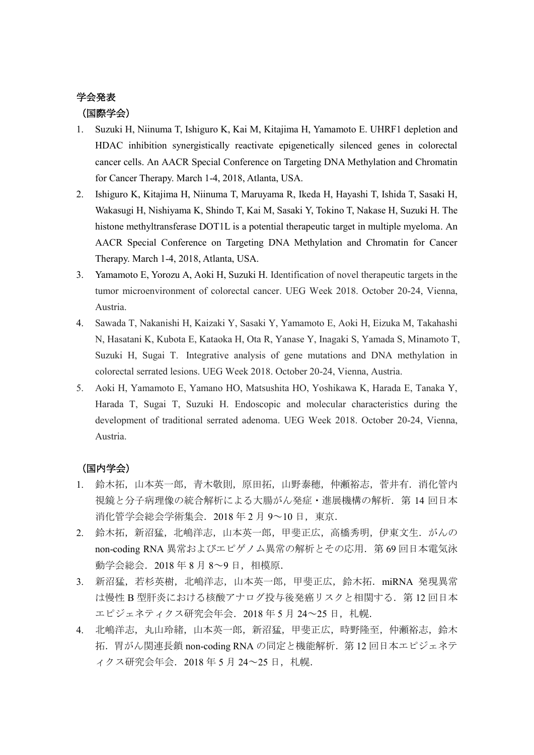# 学会発表 (国際学会)

- 1. Suzuki H, Niinuma T, Ishiguro K, Kai M, Kitajima H, Yamamoto E. UHRF1 depletion and HDAC inhibition synergistically reactivate epigenetically silenced genes in colorectal cancer cells. An AACR Special Conference on Targeting DNA Methylation and Chromatin for Cancer Therapy. March 1-4, 2018, Atlanta, USA.
- 2. Ishiguro K, Kitajima H, Niinuma T, Maruyama R, Ikeda H, Hayashi T, Ishida T, Sasaki H, Wakasugi H, Nishiyama K, Shindo T, Kai M, Sasaki Y, Tokino T, Nakase H, Suzuki H. The histone methyltransferase DOT1L is a potential therapeutic target in multiple myeloma. An AACR Special Conference on Targeting DNA Methylation and Chromatin for Cancer Therapy. March 1-4, 2018, Atlanta, USA.
- 3. Yamamoto E, Yorozu A, Aoki H, Suzuki H. Identification of novel therapeutic targets in the tumor microenvironment of colorectal cancer. UEG Week 2018. October 20-24, Vienna, Austria.
- 4. Sawada T, Nakanishi H, Kaizaki Y, Sasaki Y, Yamamoto E, Aoki H, Eizuka M, Takahashi N, Hasatani K, Kubota E, Kataoka H, Ota R, Yanase Y, Inagaki S, Yamada S, Minamoto T, Suzuki H, Sugai T. Integrative analysis of gene mutations and DNA methylation in colorectal serrated lesions. UEG Week 2018. October 20-24, Vienna, Austria.
- 5. Aoki H, Yamamoto E, Yamano HO, Matsushita HO, Yoshikawa K, Harada E, Tanaka Y, Harada T, Sugai T, Suzuki H. Endoscopic and molecular characteristics during the development of traditional serrated adenoma. UEG Week 2018. October 20-24, Vienna, Austria.

## (国内学会)

- 1. 鈴木拓,山本英一郎,青木敬則,原田拓,山野泰穂,仲瀬裕志,菅井有.消化管内 視鏡と分子病理像の統合解析による大腸がん発症·進展機構の解析. 第 14 回日本 消化管学会総会学術集会. 2018 年 2 月 9~10 日, 東京.
- 2. 鈴木拓,新沼猛,北嶋洋志,山本英一郎,甲斐正広,高橋秀明,伊東文生.がんの non-coding RNA 異常およびエピゲノム異常の解析とその応用. 第69回日本電気泳 動学会総会.2018 年 8 月 8~9 日,相模原.
- 3. 新沼猛,若杉英樹,北嶋洋志,山本英一郎,甲斐正広,鈴木拓.miRNA 発現異常 は慢性 B 型肝炎における核酸アナログ投与後発癌リスクと相関する. 第12回日本 エピジェネティクス研究会年会. 2018年5月24~25日, 札幌.
- 4. 北嶋洋志,丸山玲緒,山本英一郎,新沼猛,甲斐正広,時野隆至,仲瀬裕志,鈴木 拓. 胃がん関連長鎖 non-coding RNA の同定と機能解析. 第12回日本エピジェネテ ィクス研究会年会.2018 年 5 月 24~25 日,札幌.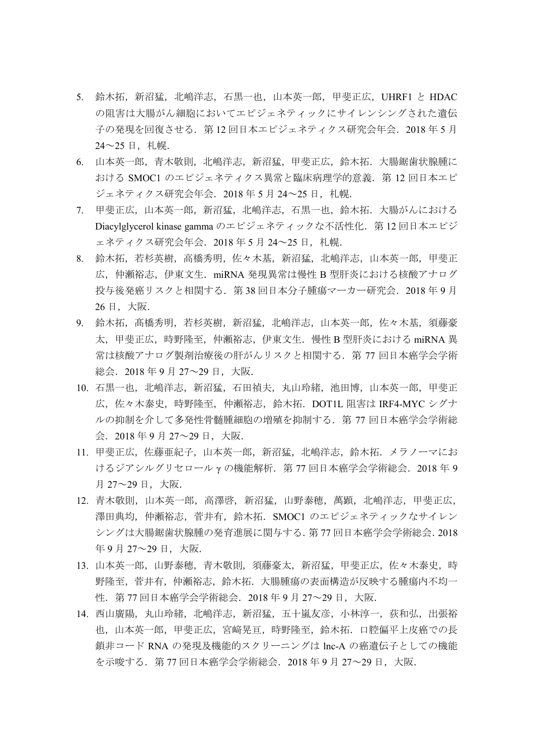- 5. 鈴木拓, 新沼猛, 北嶋洋志, 石黒一也, 山本英一郎, 甲斐正広, UHRF1 と HDAC の阻害は大腸がん細胞においてエピジェネティックにサイレンシングされた遺伝 子の発現を回復させる. 第12回日本エピジェネティクス研究会年会. 2018年5月  $24 \sim 25$  日, 札幌.
- 6. 山本英一郎,青木敬則,北嶋洋志,新沼猛,甲斐正広,鈴木拓.大腸鋸歯状腺腫に おける SMOC1 のエピジェネティクス異常と臨床病理学的意義. 第12回日本エピ ジェネティクス研究会年会. 2018年5月24~25日, 札幌.
- 7. 甲斐正広,山本英一郎,新沼猛,北嶋洋志,石黒一也,鈴木拓.大腸がんにおける Diacylglycerol kinase gamma のエピジェネティックな不活性化. 第12回日本エピジ ェネティクス研究会年会. 2018年5月24~25日, 札幌.
- 8. 鈴木拓,若杉英樹,高橋秀明,佐々木基,新沼猛,北嶋洋志,山本英一郎,甲斐正 広,仲瀬裕志,伊東文生. miRNA 発現異常は慢性 B 型肝炎における核酸アナログ 投与後発癌リスクと相関する. 第 38 回日本分子腫瘍マーカー研究会. 2018 年 9 月 26 日,大阪.
- 9. 鈴木拓, 髙橋秀明, 若杉英樹, 新沼猛, 北嶋洋志, 山本英一郎, 佐々木基, 須藤豪 太,甲斐正広,時野隆至,仲瀬裕志,伊東文生.慢性 B 型肝炎における miRNA 異 常は核酸アナログ製剤治療後の肝がんリスクと相関する.第 77 回日本癌学会学術 総会.2018 年 9 月 27~29 日,大阪.
- 10. 石黒一也, 北嶋洋志, 新沼猛, 石田禎夫, 丸山玲緒, 池田博, 山本英一郎, 甲斐正 広,佐々木泰史,時野隆至,仲瀬裕志,鈴木拓.DOT1L 阻害は IRF4-MYC シグナ ルの抑制を介して多発性骨髄腫細胞の増殖を抑制する.第 77 回日本癌学会学術総 会.2018 年 9 月 27~29 日,大阪.
- 11. 甲斐正広, 佐藤亜紀子, 山本英一郎, 新沼猛, 北嶋洋志, 鈴木拓. メラノーマにお けるジアシルグリセロール γ の機能解析. 第 77 回日本癌学会学術総会. 2018 年 9 月 27~29 日,大阪.
- 12. 青木敬則,山本英一郎,高澤啓,新沼猛,山野泰穂,萬顕,北嶋洋志,甲斐正広, 澤田典均,仲瀬裕志,菅井有,鈴木拓.SMOC1 のエピジェネティックなサイレン シングは大腸鋸歯状腺腫の発育進展に関与する.第 77 回日本癌学会学術総会.2018 年 9 月 27~29 日,大阪.
- 13. 山本英一郎,山野泰穂,青木敬則,須藤豪太,新沼猛,甲斐正広,佐々木泰史,時 野隆至,菅井有,仲瀬裕志,鈴木拓.大腸腫瘍の表面構造が反映する腫瘍内不均一 性.第 77 回日本癌学会学術総会.2018 年 9 月 27~29 日,大阪.
- 14. 西山廣陽,丸山玲緒,北嶋洋志,新沼猛,五十嵐友彦,小林淳一,荻和弘,出張裕 也,山本英一郎,甲斐正広,宮﨑晃亘,時野隆至,鈴木拓.口腔偏平上皮癌での長 鎖非コード RNA の発現及機能的スクリーニングは lnc-A の癌遺伝子としての機能 を示唆する.第 77 回日本癌学会学術総会.2018 年 9 月 27~29 日,大阪.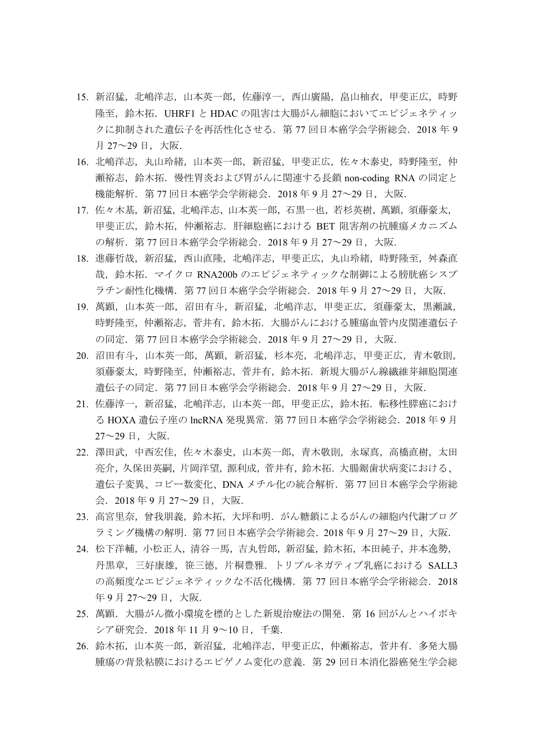- 15. 新沼猛,北嶋洋志,山本英一郎,佐藤淳一,西山廣陽,畠山柚衣,甲斐正広,時野 隆至,鈴木拓.UHRF1 と HDAC の阻害は大腸がん細胞においてエピジェネティッ クに抑制された遺伝子を再活性化させる.第 77 回日本癌学会学術総会.2018 年 9 月 27~29 日,大阪.
- 16. 北嶋洋志,丸山玲緒,山本英一郎,新沼猛,甲斐正広,佐々木泰史,時野隆至,仲 瀬裕志,鈴木拓.慢性胃炎および胃がんに関連する長鎖 non-coding RNA の同定と 機能解析. 第 77 回日本癌学会学術総会. 2018 年 9 月 27~29 日, 大阪.
- 17. 佐々木基,新沼猛,北嶋洋志,山本英一郎,石黒一也,若杉英樹,萬顕,須藤豪太, 甲斐正広,鈴木拓,仲瀬裕志.肝細胞癌における BET 阻害剤の抗腫瘍メカニズム の解析.第 77 回日本癌学会学術総会.2018 年 9 月 27~29 日,大阪.
- 18. 進藤哲哉, 新沼猛, 西山直隆, 北嶋洋志, 甲斐正広, 丸山玲緒, 時野隆至, 舛森直 哉,鈴木拓.マイクロ RNA200b のエピジェネティックな制御による膀胱癌シスプ ラチン耐性化機構.第 77 回日本癌学会学術総会.2018 年 9 月 27~29 日,大阪.
- 19. 萬顕,山本英一郎,沼田有斗,新沼猛,北嶋洋志,甲斐正広,須藤豪太,黒瀬誠, 時野隆至,仲瀬裕志,菅井有,鈴木拓.大腸がんにおける腫瘍血管内皮関連遺伝子 の同定.第 77 回日本癌学会学術総会.2018 年 9 月 27~29 日,大阪.
- 20. 沼田有斗,山本英一郎,萬顕,新沼猛,杉本亮,北嶋洋志,甲斐正広,青木敬則, 須藤豪太,時野隆至,仲瀬裕志,菅井有,鈴木拓.新規大腸がん線繊維芽細胞関連 遺伝子の同定. 第 77 回日本癌学会学術総会. 2018 年 9 月 27~29 日, 大阪.
- 21. 佐藤淳一,新沼猛,北嶋洋志,山本英一郎,甲斐正広,鈴木拓.転移性膵癌におけ る HOXA 遺伝子座の lncRNA 発現異常. 第77 回日本癌学会学術総会. 2018 年 9 月 27~29 日,大阪.
- 22. 澤田武,中西宏佳,佐々木泰史,山本英一郎,青木敬則,永塚真,高橋直樹,太田 亮介,久保田英嗣,片岡洋望,源利成,菅井有,鈴木拓.大腸鋸歯状病変における、 遺伝子変異、コピー数変化、DNA メチル化の統合解析.第 77 回日本癌学会学術総 会.2018 年 9 月 27~29 日,大阪.
- 23. 高宮里奈,曾我朋義,鈴木拓,大坪和明.がん糖鎖によるがんの細胞内代謝プログ ラミング機構の解明.第 77 回日本癌学会学術総会.2018 年 9 月 27~29 日,大阪.
- 24. 松下洋輔,小松正人,清谷一馬,吉丸哲郎,新沼猛,鈴木拓,本田純子,井本逸勢, 丹黒章,三好康雄,笹三徳,片桐豊雅.トリプルネガティブ乳癌における SALL3 の高頻度なエピジェネティックな不活化機構. 第 77 回日本癌学会学術総会. 2018 年 9 月 27~29 日, 大阪.
- 25. 萬顕.大腸がん微小環境を標的とした新規治療法の開発.第 16 回がんとハイポキ シア研究会.2018 年 11 月 9~10 日,千葉.
- 26. 鈴木拓,山本英一郎,新沼猛,北嶋洋志,甲斐正広,仲瀬裕志,菅井有. 多発大腸 腫瘍の背景粘膜におけるエピゲノム変化の意義.第 29 回日本消化器癌発生学会総